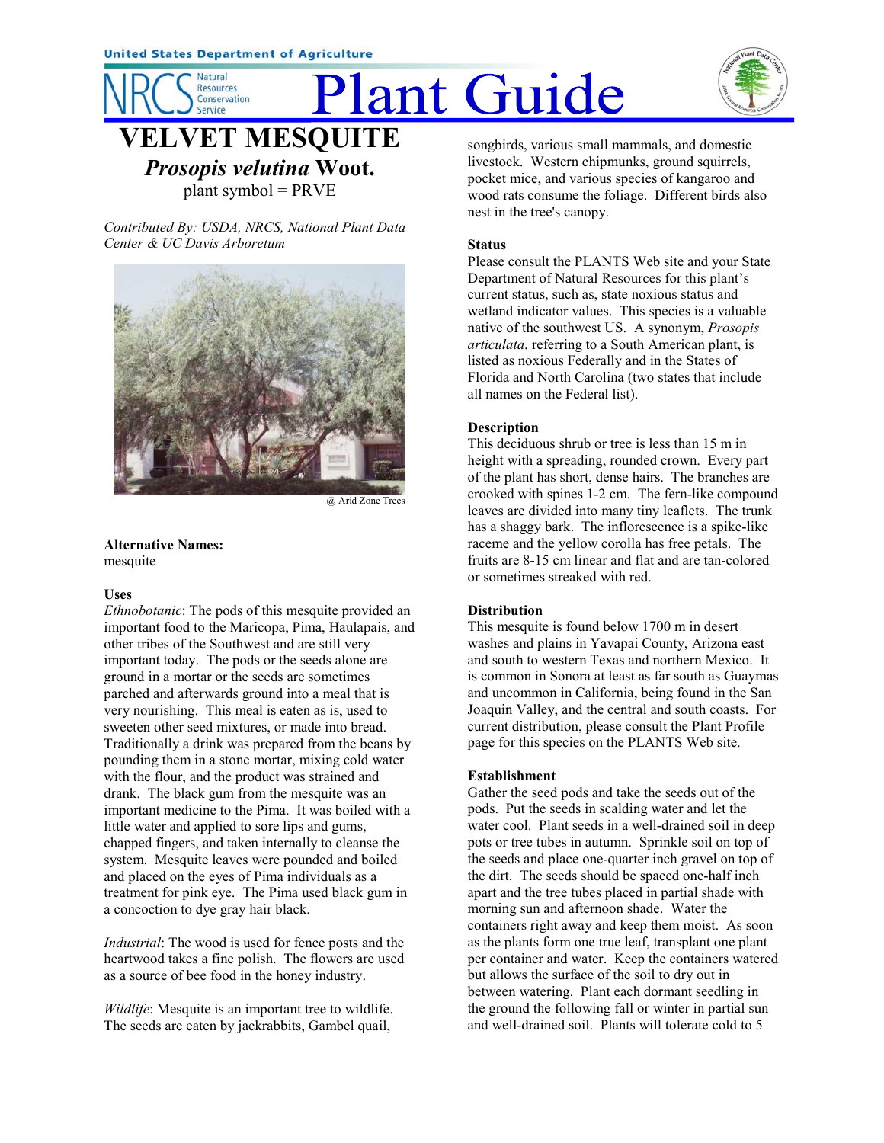**Natural** 

**Resources** Conservation **Service** 

# **Plant Guide**



**ELVET MESQUITE** *Prosopis velutina* **Woot.**

plant symbol = PRVE

*Contributed By: USDA, NRCS, National Plant Data Center & UC Davis Arboretum*



@ Arid Zone Trees

**Alternative Names:** mesquite

## **Uses**

*Ethnobotanic*: The pods of this mesquite provided an important food to the Maricopa, Pima, Haulapais, and other tribes of the Southwest and are still very important today. The pods or the seeds alone are ground in a mortar or the seeds are sometimes parched and afterwards ground into a meal that is very nourishing. This meal is eaten as is, used to sweeten other seed mixtures, or made into bread. Traditionally a drink was prepared from the beans by pounding them in a stone mortar, mixing cold water with the flour, and the product was strained and drank. The black gum from the mesquite was an important medicine to the Pima. It was boiled with a little water and applied to sore lips and gums, chapped fingers, and taken internally to cleanse the system. Mesquite leaves were pounded and boiled and placed on the eyes of Pima individuals as a treatment for pink eye. The Pima used black gum in a concoction to dye gray hair black.

*Industrial*: The wood is used for fence posts and the heartwood takes a fine polish. The flowers are used as a source of bee food in the honey industry.

*Wildlife*: Mesquite is an important tree to wildlife. The seeds are eaten by jackrabbits, Gambel quail,

songbirds, various small mammals, and domestic livestock. Western chipmunks, ground squirrels, pocket mice, and various species of kangaroo and wood rats consume the foliage. Different birds also nest in the tree's canopy.

## **Status**

Please consult the PLANTS Web site and your State Department of Natural Resources for this plant's current status, such as, state noxious status and wetland indicator values. This species is a valuable native of the southwest US. A synonym, *Prosopis articulata*, referring to a South American plant, is listed as noxious Federally and in the States of Florida and North Carolina (two states that include all names on the Federal list).

## **Description**

This deciduous shrub or tree is less than 15 m in height with a spreading, rounded crown. Every part of the plant has short, dense hairs. The branches are crooked with spines 1-2 cm. The fern-like compound leaves are divided into many tiny leaflets. The trunk has a shaggy bark. The inflorescence is a spike-like raceme and the yellow corolla has free petals. The fruits are 8-15 cm linear and flat and are tan-colored or sometimes streaked with red.

## **Distribution**

This mesquite is found below 1700 m in desert washes and plains in Yavapai County, Arizona east and south to western Texas and northern Mexico. It is common in Sonora at least as far south as Guaymas and uncommon in California, being found in the San Joaquin Valley, and the central and south coasts. For current distribution, please consult the Plant Profile page for this species on the PLANTS Web site.

## **Establishment**

Gather the seed pods and take the seeds out of the pods. Put the seeds in scalding water and let the water cool. Plant seeds in a well-drained soil in deep pots or tree tubes in autumn. Sprinkle soil on top of the seeds and place one-quarter inch gravel on top of the dirt. The seeds should be spaced one-half inch apart and the tree tubes placed in partial shade with morning sun and afternoon shade. Water the containers right away and keep them moist. As soon as the plants form one true leaf, transplant one plant per container and water. Keep the containers watered but allows the surface of the soil to dry out in between watering. Plant each dormant seedling in the ground the following fall or winter in partial sun and well-drained soil. Plants will tolerate cold to 5